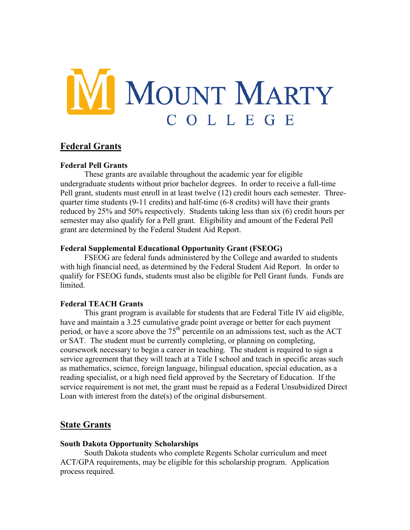

# **Federal Grants**

#### **Federal Pell Grants**

These grants are available throughout the academic year for eligible undergraduate students without prior bachelor degrees. In order to receive a full-time Pell grant, students must enroll in at least twelve (12) credit hours each semester. Threequarter time students (9-11 credits) and half-time (6-8 credits) will have their grants reduced by 25% and 50% respectively. Students taking less than six (6) credit hours per semester may also qualify for a Pell grant. Eligibility and amount of the Federal Pell grant are determined by the Federal Student Aid Report.

## **Federal Supplemental Educational Opportunity Grant (FSEOG)**

FSEOG are federal funds administered by the College and awarded to students with high financial need, as determined by the Federal Student Aid Report. In order to qualify for FSEOG funds, students must also be eligible for Pell Grant funds. Funds are **limited** 

## **Federal TEACH Grants**

This grant program is available for students that are Federal Title IV aid eligible, have and maintain a 3.25 cumulative grade point average or better for each payment period, or have a score above the  $75<sup>th</sup>$  percentile on an admissions test, such as the ACT or SAT. The student must be currently completing, or planning on completing, coursework necessary to begin a career in teaching. The student is required to sign a service agreement that they will teach at a Title I school and teach in specific areas such as mathematics, science, foreign language, bilingual education, special education, as a reading specialist, or a high need field approved by the Secretary of Education. If the service requirement is not met, the grant must be repaid as a Federal Unsubsidized Direct Loan with interest from the date(s) of the original disbursement.

## **State Grants**

#### **South Dakota Opportunity Scholarships**

 South Dakota students who complete Regents Scholar curriculum and meet ACT/GPA requirements, may be eligible for this scholarship program. Application process required.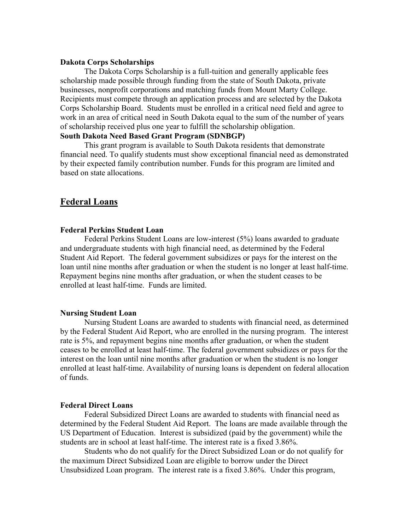#### **Dakota Corps Scholarships**

The Dakota Corps Scholarship is a full-tuition and generally applicable fees scholarship made possible through funding from the state of South Dakota, private businesses, nonprofit corporations and matching funds from Mount Marty College. Recipients must compete through an application process and are selected by the Dakota Corps Scholarship Board. Students must be enrolled in a critical need field and agree to work in an area of critical need in South Dakota equal to the sum of the number of years of scholarship received plus one year to fulfill the scholarship obligation.

## **South Dakota Need Based Grant Program (SDNBGP)**

This grant program is available to South Dakota residents that demonstrate financial need. To qualify students must show exceptional financial need as demonstrated by their expected family contribution number. Funds for this program are limited and based on state allocations.

## **Federal Loans**

#### **Federal Perkins Student Loan**

 Federal Perkins Student Loans are low-interest (5%) loans awarded to graduate and undergraduate students with high financial need, as determined by the Federal Student Aid Report. The federal government subsidizes or pays for the interest on the loan until nine months after graduation or when the student is no longer at least half-time. Repayment begins nine months after graduation, or when the student ceases to be enrolled at least half-time. Funds are limited.

#### **Nursing Student Loan**

 Nursing Student Loans are awarded to students with financial need, as determined by the Federal Student Aid Report, who are enrolled in the nursing program. The interest rate is 5%, and repayment begins nine months after graduation, or when the student ceases to be enrolled at least half-time. The federal government subsidizes or pays for the interest on the loan until nine months after graduation or when the student is no longer enrolled at least half-time. Availability of nursing loans is dependent on federal allocation of funds.

#### **Federal Direct Loans**

 Federal Subsidized Direct Loans are awarded to students with financial need as determined by the Federal Student Aid Report. The loans are made available through the US Department of Education. Interest is subsidized (paid by the government) while the students are in school at least half-time. The interest rate is a fixed 3.86%.

 Students who do not qualify for the Direct Subsidized Loan or do not qualify for the maximum Direct Subsidized Loan are eligible to borrow under the Direct Unsubsidized Loan program. The interest rate is a fixed 3.86%. Under this program,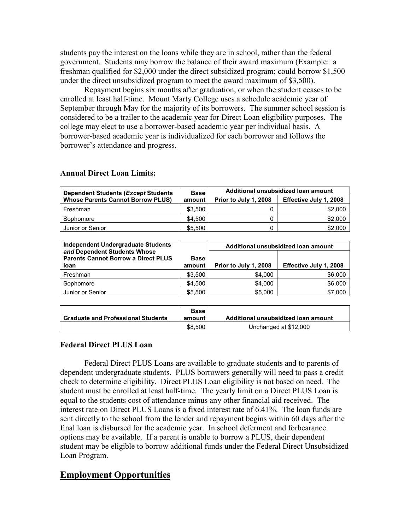students pay the interest on the loans while they are in school, rather than the federal government. Students may borrow the balance of their award maximum (Example: a freshman qualified for \$2,000 under the direct subsidized program; could borrow \$1,500 under the direct unsubsidized program to meet the award maximum of \$3,500).

Repayment begins six months after graduation, or when the student ceases to be enrolled at least half-time. Mount Marty College uses a schedule academic year of September through May for the majority of its borrowers. The summer school session is considered to be a trailer to the academic year for Direct Loan eligibility purposes. The college may elect to use a borrower-based academic year per individual basis. A borrower-based academic year is individualized for each borrower and follows the borrower's attendance and progress.

| <b>Dependent Students (Except Students)</b><br><b>Whose Parents Cannot Borrow PLUS)</b> | <b>Base</b><br>amount | Additional unsubsidized loan amount |                        |
|-----------------------------------------------------------------------------------------|-----------------------|-------------------------------------|------------------------|
|                                                                                         |                       | Prior to July 1, 2008               | Effective July 1, 2008 |
| Freshman                                                                                | \$3,500               |                                     | \$2,000                |
| Sophomore                                                                               | \$4.500               |                                     | \$2,000                |
| Junior or Senior                                                                        | \$5.500               |                                     | \$2,000                |

#### **Annual Direct Loan Limits:**

| Independent Undergraduate Students                                                        |                       |                       | Additional unsubsidized loan amount |
|-------------------------------------------------------------------------------------------|-----------------------|-----------------------|-------------------------------------|
| and Dependent Students Whose<br><b>Parents Cannot Borrow a Direct PLUS</b><br><b>loan</b> | <b>Base</b><br>amount | Prior to July 1, 2008 | Effective July 1, 2008              |
| Freshman                                                                                  | \$3,500               | \$4,000               | \$6,000                             |
| Sophomore                                                                                 | \$4.500               | \$4,000               | \$6,000                             |
| Junior or Senior                                                                          | \$5,500               | \$5,000               | \$7,000                             |

|                                           | <b>Base</b> |                                     |
|-------------------------------------------|-------------|-------------------------------------|
| <b>Graduate and Professional Students</b> | amount      | Additional unsubsidized loan amount |
|                                           | \$8.500     | Unchanged at \$12,000               |

## **Federal Direct PLUS Loan**

Federal Direct PLUS Loans are available to graduate students and to parents of dependent undergraduate students. PLUS borrowers generally will need to pass a credit check to determine eligibility. Direct PLUS Loan eligibility is not based on need. The student must be enrolled at least half-time. The yearly limit on a Direct PLUS Loan is equal to the students cost of attendance minus any other financial aid received. The interest rate on Direct PLUS Loans is a fixed interest rate of 6.41%. The loan funds are sent directly to the school from the lender and repayment begins within 60 days after the final loan is disbursed for the academic year. In school deferment and forbearance options may be available. If a parent is unable to borrow a PLUS, their dependent student may be eligible to borrow additional funds under the Federal Direct Unsubsidized Loan Program.

## **Employment Opportunities**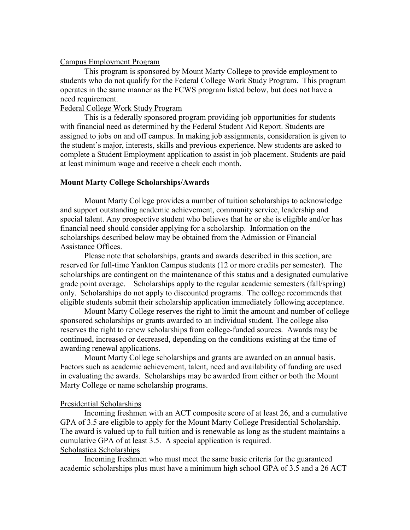#### Campus Employment Program

This program is sponsored by Mount Marty College to provide employment to students who do not qualify for the Federal College Work Study Program. This program operates in the same manner as the FCWS program listed below, but does not have a need requirement.

#### Federal College Work Study Program

This is a federally sponsored program providing job opportunities for students with financial need as determined by the Federal Student Aid Report. Students are assigned to jobs on and off campus. In making job assignments, consideration is given to the student's major, interests, skills and previous experience. New students are asked to complete a Student Employment application to assist in job placement. Students are paid at least minimum wage and receive a check each month.

#### **Mount Marty College Scholarships/Awards**

Mount Marty College provides a number of tuition scholarships to acknowledge and support outstanding academic achievement, community service, leadership and special talent. Any prospective student who believes that he or she is eligible and/or has financial need should consider applying for a scholarship. Information on the scholarships described below may be obtained from the Admission or Financial Assistance Offices.

Please note that scholarships, grants and awards described in this section, are reserved for full-time Yankton Campus students (12 or more credits per semester). The scholarships are contingent on the maintenance of this status and a designated cumulative grade point average. Scholarships apply to the regular academic semesters (fall/spring) only. Scholarships do not apply to discounted programs. The college recommends that eligible students submit their scholarship application immediately following acceptance.

Mount Marty College reserves the right to limit the amount and number of college sponsored scholarships or grants awarded to an individual student. The college also reserves the right to renew scholarships from college-funded sources. Awards may be continued, increased or decreased, depending on the conditions existing at the time of awarding renewal applications.

Mount Marty College scholarships and grants are awarded on an annual basis. Factors such as academic achievement, talent, need and availability of funding are used in evaluating the awards. Scholarships may be awarded from either or both the Mount Marty College or name scholarship programs.

#### Presidential Scholarships

Incoming freshmen with an ACT composite score of at least 26, and a cumulative GPA of 3.5 are eligible to apply for the Mount Marty College Presidential Scholarship. The award is valued up to full tuition and is renewable as long as the student maintains a cumulative GPA of at least 3.5. A special application is required. Scholastica Scholarships

Incoming freshmen who must meet the same basic criteria for the guaranteed academic scholarships plus must have a minimum high school GPA of 3.5 and a 26 ACT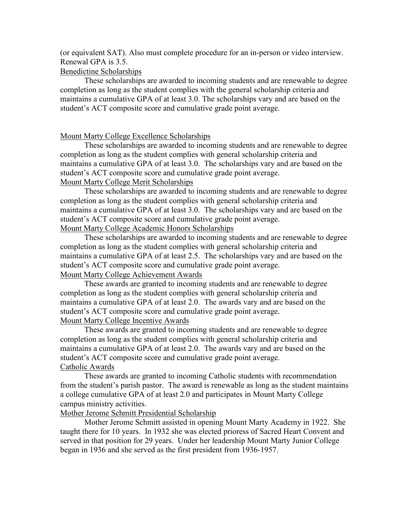(or equivalent SAT). Also must complete procedure for an in-person or video interview. Renewal GPA is 3.5.

## Benedictine Scholarships

These scholarships are awarded to incoming students and are renewable to degree completion as long as the student complies with the general scholarship criteria and maintains a cumulative GPA of at least 3.0. The scholarships vary and are based on the student's ACT composite score and cumulative grade point average.

## Mount Marty College Excellence Scholarships

These scholarships are awarded to incoming students and are renewable to degree completion as long as the student complies with general scholarship criteria and maintains a cumulative GPA of at least 3.0. The scholarships vary and are based on the student's ACT composite score and cumulative grade point average. Mount Marty College Merit Scholarships

These scholarships are awarded to incoming students and are renewable to degree completion as long as the student complies with general scholarship criteria and maintains a cumulative GPA of at least 3.0. The scholarships vary and are based on the student's ACT composite score and cumulative grade point average. Mount Marty College Academic Honors Scholarships

These scholarships are awarded to incoming students and are renewable to degree completion as long as the student complies with general scholarship criteria and maintains a cumulative GPA of at least 2.5. The scholarships vary and are based on the student's ACT composite score and cumulative grade point average. Mount Marty College Achievement Awards

These awards are granted to incoming students and are renewable to degree completion as long as the student complies with general scholarship criteria and maintains a cumulative GPA of at least 2.0. The awards vary and are based on the student's ACT composite score and cumulative grade point average.

Mount Marty College Incentive Awards

These awards are granted to incoming students and are renewable to degree completion as long as the student complies with general scholarship criteria and maintains a cumulative GPA of at least 2.0. The awards vary and are based on the student's ACT composite score and cumulative grade point average. Catholic Awards

These awards are granted to incoming Catholic students with recommendation from the student's parish pastor. The award is renewable as long as the student maintains a college cumulative GPA of at least 2.0 and participates in Mount Marty College campus ministry activities.

## Mother Jerome Schmitt Presidential Scholarship

Mother Jerome Schmitt assisted in opening Mount Marty Academy in 1922. She taught there for 10 years. In 1932 she was elected prioress of Sacred Heart Convent and served in that position for 29 years. Under her leadership Mount Marty Junior College began in 1936 and she served as the first president from 1936-1957.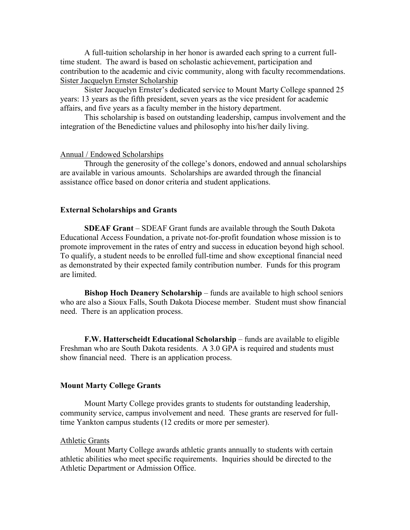A full-tuition scholarship in her honor is awarded each spring to a current fulltime student. The award is based on scholastic achievement, participation and contribution to the academic and civic community, along with faculty recommendations. Sister Jacquelyn Ernster Scholarship

Sister Jacquelyn Ernster's dedicated service to Mount Marty College spanned 25 years: 13 years as the fifth president, seven years as the vice president for academic affairs, and five years as a faculty member in the history department.

This scholarship is based on outstanding leadership, campus involvement and the integration of the Benedictine values and philosophy into his/her daily living.

#### Annual / Endowed Scholarships

Through the generosity of the college's donors, endowed and annual scholarships are available in various amounts. Scholarships are awarded through the financial assistance office based on donor criteria and student applications.

#### **External Scholarships and Grants**

**SDEAF Grant** – SDEAF Grant funds are available through the South Dakota Educational Access Foundation, a private not-for-profit foundation whose mission is to promote improvement in the rates of entry and success in education beyond high school. To qualify, a student needs to be enrolled full-time and show exceptional financial need as demonstrated by their expected family contribution number. Funds for this program are limited.

**Bishop Hoch Deanery Scholarship** – funds are available to high school seniors who are also a Sioux Falls, South Dakota Diocese member. Student must show financial need. There is an application process.

**F.W. Hatterscheidt Educational Scholarship** – funds are available to eligible Freshman who are South Dakota residents. A 3.0 GPA is required and students must show financial need. There is an application process.

#### **Mount Marty College Grants**

Mount Marty College provides grants to students for outstanding leadership, community service, campus involvement and need. These grants are reserved for fulltime Yankton campus students (12 credits or more per semester).

#### Athletic Grants

Mount Marty College awards athletic grants annually to students with certain athletic abilities who meet specific requirements. Inquiries should be directed to the Athletic Department or Admission Office.